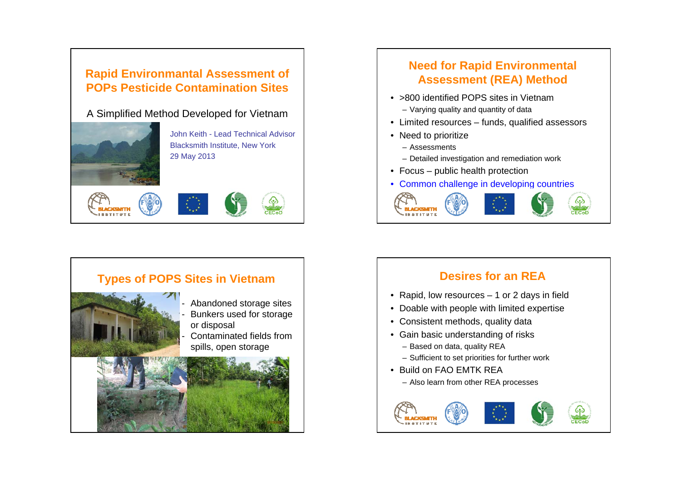# **Rapid Environmantal Assessment of POPs Pesticide Contamination Sites**

A Simplified Method Developed for Vietnam



John Keith - Lead Technical AdvisorBlacksmith Institute, New York 29 May 2013







# **Need for Rapid Environmental Assessment (REA) Method**

- >800 identified POPS sites in Vietnam
	- Varying quality and quantity of data
- Limited resources funds, qualified assessors
- Need to prioritize
	- Assessments
	- Detailed investigation and remediation work
- Focus public health protection
- Common challenge in developing countries



# **Desires for an REA**

- Rapid, low resources 1 or 2 days in field
- Doable with people with limited expertise
- Consistent methods, quality data
- Gain basic understanding of risks
	- Based on data, quality REA
	- Sufficient to set priorities for further work
- Build on FAO EMTK REA– Also learn from other REA processes

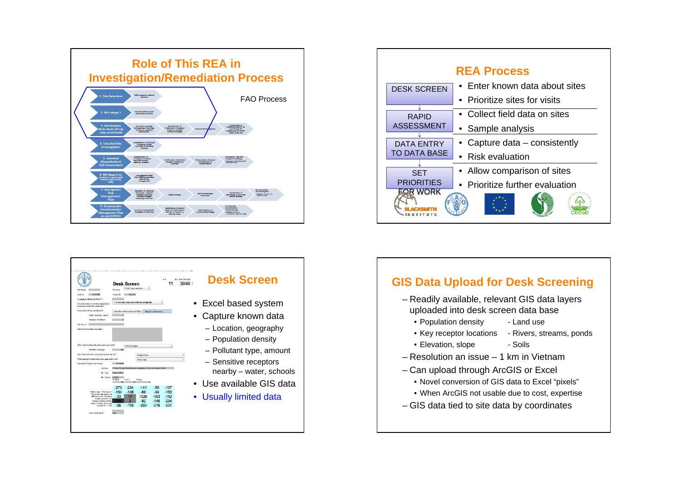





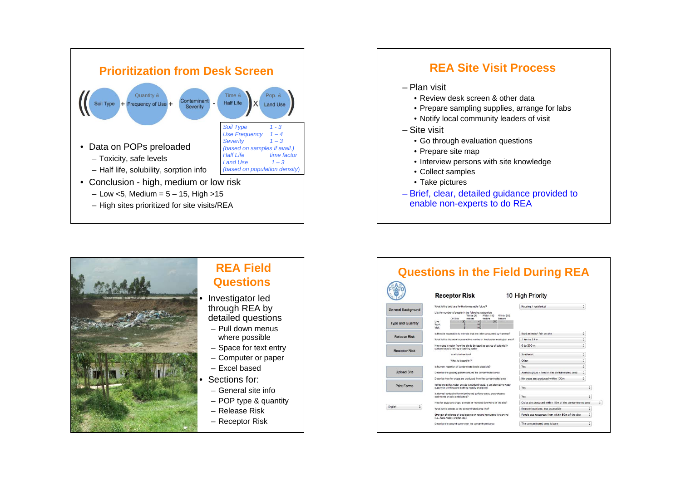





## **REA Field Questions**

- Investigator led through REA by detailed questions
- Pull down menus where possible
- Space for text entry
- Computer or paper
- Excel based
- Sections for:
- General site info
- POP type & quantity
- Release Risk
- Receptor Risk

|                          | <b>Receptor Risk</b>                                                                                                           | 10 High Priority                                       |   |
|--------------------------|--------------------------------------------------------------------------------------------------------------------------------|--------------------------------------------------------|---|
|                          | What is the land use for the foreseeable future?                                                                               | Housing / residential                                  |   |
| General Background       | List the number of people in the following categories<br>Within 50<br>Within 100<br>Within 500                                 |                                                        |   |
| <b>Type and Quantity</b> | On Site<br>meters<br>medeers<br>Meters<br>40<br>Live<br>200<br>20<br>Work<br>100<br>5<br>Visit<br>ton                          |                                                        |   |
|                          | is the site accessible to animals that are later consumed by humans?                                                           | ÷<br>food animals/ fish on site                        |   |
| Release Risk             | What is the distance to a sensitive marine or freshwater ecological area?                                                      | ¢<br>1 km to 5 km                                      |   |
| <b>Receptor Risk</b>     | How close is water from the site to be used as source of potentially<br>contaminated drinking or bathing water                 | ÷<br>0.to 300 m                                        |   |
|                          | In which direction?                                                                                                            | ÷<br>Southeast                                         |   |
|                          | What is it used for?                                                                                                           | ÷<br>Other                                             |   |
|                          | Is human ingestion of contaminated solls possible?                                                                             | ¢<br>Yes                                               |   |
| <b>Upload Site</b>       | Describe the grazing pattern around the contaminated area                                                                      | ٥<br>Animals graze / feed in the contaminated area     |   |
|                          | Dascribe how far crops are produced from the contaminated area                                                                 | ÷<br>No crops are produced within 100m                 |   |
| <b>Print Forms</b>       | In the event that water on-site is contaminated, is an alternative water<br>supply for drinking and bathing readily available? | Yes                                                    | ÷ |
|                          | Is dermal contact with contaminated surface water, groundwater,<br>sediments or soils anticipated?                             | Yes                                                    | ٥ |
|                          | How far away are crops, animals or humans downwind of the site?                                                                | Crops are produced within 10m of the contaminated area |   |
| ۵<br>English             | What is the access to the contaminated area like?                                                                              | Remote locations: less accessible                      | ۵ |
|                          | Strength of reliance of local people on natural resources for survival                                                         | People use resources from within 50m of the site       | ÷ |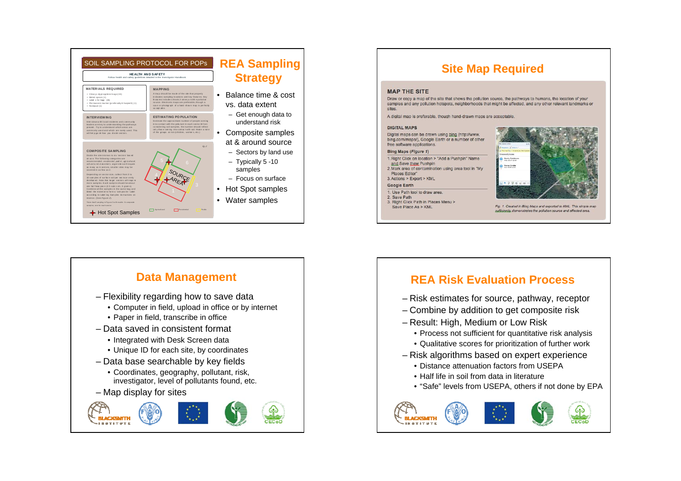

#### **Site Map Required MAP THE SITE** Draw or copy a map of the site that shows the pollution source, the pathways to humans, the location of your samples and any pollution hotspots, neighborhoods that might be affected, and any other relevant landmarks or citoc A digital map is preferable, though hand-drawn maps are acceptable **DIGITAL MAPS** Digital maps can be drawn using bing (http://www. bing.com/maps/), Google Earth or a number of other free software applications. Bing Maps (Figure 1) 1. Right Click on location > "Add a Pushpin" Name Newby Resid and Save thew Pushpin Former Scratte

#### 2. Mark area of contamination using area tool in "My Places Editor" 3. Actions > Export > KML

#### **Google Earth** 1. Use Path tool to draw area.

2. Save Path

3. Right Click Path in Places Menu > Save Place As > KML



Fig. 1. Created in Bing Maps and exported to KML. This simple map sufficiently, demonstrates the pollution source and affected area.



## **REA Risk Evaluation Process**

- Risk estimates for source, pathway, receptor
- Combine by addition to get composite risk
- Result: High, Medium or Low Risk
	- Process not sufficient for quantitative risk analysis
	- Qualitative scores for prioritization of further work
- Risk algorithms based on expert experience
	- Distance attenuation factors from USEPA
	- . Half life in soil from data in literature
	- "Safe" levels from USEPA, others if not done by EPA

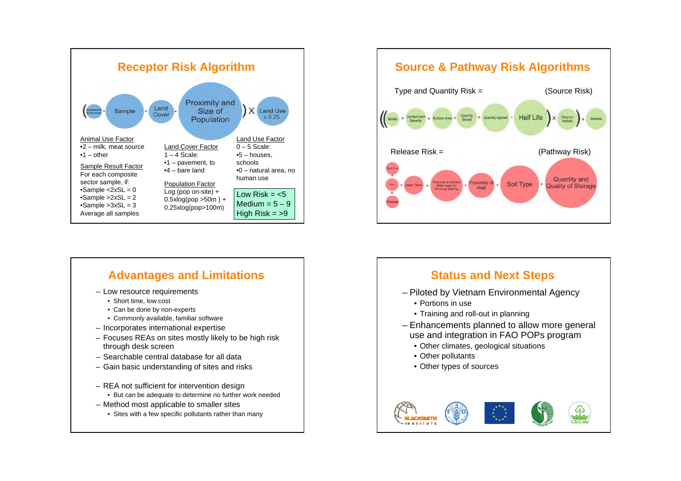

## **Advantages and Limitations**

- Low resource requirements
	- Short time, low cost
	- Can be done by non-experts
	- Commonly available, familiar software
- Incorporates international expertise
- Focuses REAs on sites mostly likely to be high risk through desk screen
- Searchable central database for all data
- Gain basic understanding of sites and risks
- REA not sufficient for intervention design
	- But can be adequate to determine no further work needed
- Method most applicable to smaller sites
	- Sites with a few specific pollutants rather than many



## **Status and Next Steps**

- Piloted by Vietnam Environmental Agency
	- Portions in use
	- Training and roll-out in planning
- Enhancements planned to allow more general use and integration in FAO POPs program
	- Other climates, geological situations
	- Other pollutants
	- Other types of sources